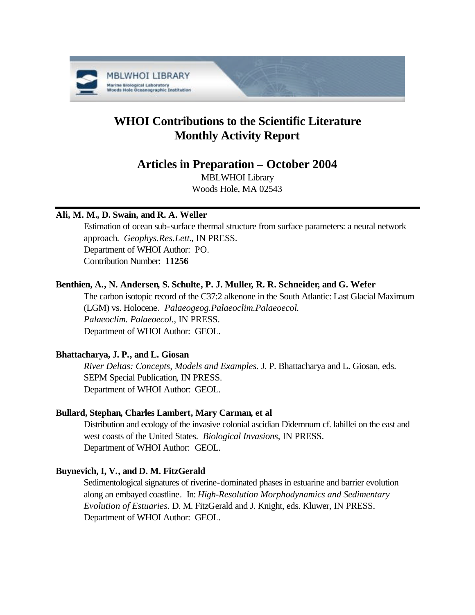

# **WHOI Contributions to the Scientific Literature Monthly Activity Report**

## **Articles in Preparation – October 2004**

MBLWHOI Library Woods Hole, MA 02543

### **Ali, M. M., D. Swain, and R. A. Weller**

Estimation of ocean sub-surface thermal structure from surface parameters: a neural network approach. *Geophys.Res.Lett.*, IN PRESS. Department of WHOI Author: PO. Contribution Number: **11256**

### **Benthien, A., N. Andersen, S. Schulte, P. J. Muller, R. R. Schneider, and G. Wefer**

The carbon isotopic record of the C37:2 alkenone in the South Atlantic: Last Glacial Maximum (LGM) vs. Holocene. *Palaeogeog.Palaeoclim.Palaeoecol. Palaeoclim. Palaeoecol.*, IN PRESS. Department of WHOI Author: GEOL.

### **Bhattacharya, J. P., and L. Giosan**

*River Deltas: Concepts, Models and Examples.* J. P. Bhattacharya and L. Giosan, eds. SEPM Special Publication, IN PRESS. Department of WHOI Author: GEOL.

### **Bullard, Stephan, Charles Lambert, Mary Carman, et al**

Distribution and ecology of the invasive colonial ascidian Didemnum cf. lahillei on the east and west coasts of the United States. *Biological Invasions*, IN PRESS. Department of WHOI Author: GEOL.

### **Buynevich, I, V., and D. M. FitzGerald**

Sedimentological signatures of riverine-dominated phases in estuarine and barrier evolution along an embayed coastline. In: *High-Resolution Morphodynamics and Sedimentary Evolution of Estuaries.* D. M. FitzGerald and J. Knight, eds. Kluwer, IN PRESS. Department of WHOI Author: GEOL.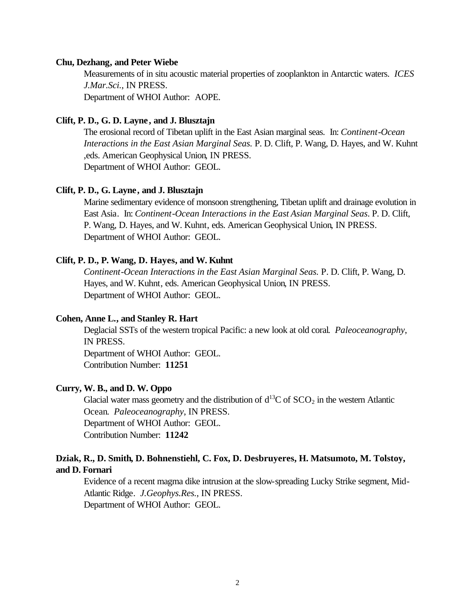#### **Chu, Dezhang, and Peter Wiebe**

Measurements of in situ acoustic material properties of zooplankton in Antarctic waters. *ICES J.Mar.Sci.*, IN PRESS.

Department of WHOI Author: AOPE.

### **Clift, P. D., G. D. Layne, and J. Blusztajn**

The erosional record of Tibetan uplift in the East Asian marginal seas. In: *Continent-Ocean Interactions in the East Asian Marginal Seas.* P. D. Clift, P. Wang, D. Hayes, and W. Kuhnt ,eds. American Geophysical Union, IN PRESS. Department of WHOI Author: GEOL.

#### **Clift, P. D., G. Layne, and J. Blusztajn**

Marine sedimentary evidence of monsoon strengthening, Tibetan uplift and drainage evolution in East Asia. In: *Continent-Ocean Interactions in the East Asian Marginal Seas*. P. D. Clift, P. Wang, D. Hayes, and W. Kuhnt, eds. American Geophysical Union, IN PRESS. Department of WHOI Author: GEOL.

### **Clift, P. D., P. Wang, D. Hayes, and W. Kuhnt**

*Continent-Ocean Interactions in the East Asian Marginal Seas.* P. D. Clift, P. Wang, D. Hayes, and W. Kuhnt, eds. American Geophysical Union, IN PRESS. Department of WHOI Author: GEOL.

### **Cohen, Anne L., and Stanley R. Hart**

Deglacial SSTs of the western tropical Pacific: a new look at old coral. *Paleoceanography*, IN PRESS.

Department of WHOI Author: GEOL. Contribution Number: **11251**

### **Curry, W. B., and D. W. Oppo**

Glacial water mass geometry and the distribution of  $d^{13}C$  of  $SCO_2$  in the western Atlantic Ocean. *Paleoceanography*, IN PRESS. Department of WHOI Author: GEOL. Contribution Number: **11242**

### **Dziak, R., D. Smith, D. Bohnenstiehl, C. Fox, D. Desbruyeres, H. Matsumoto, M. Tolstoy, and D. Fornari**

Evidence of a recent magma dike intrusion at the slow-spreading Lucky Strike segment, Mid-Atlantic Ridge. *J.Geophys.Res.*, IN PRESS. Department of WHOI Author: GEOL.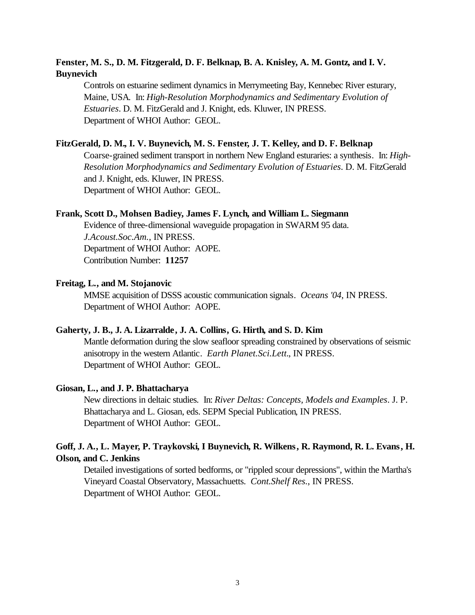### **Fenster, M. S., D. M. Fitzgerald, D. F. Belknap, B. A. Knisley, A. M. Gontz, and I. V. Buynevich**

Controls on estuarine sediment dynamics in Merrymeeting Bay, Kennebec River esturary, Maine, USA. In: *High-Resolution Morphodynamics and Sedimentary Evolution of Estuaries*. D. M. FitzGerald and J. Knight, eds. Kluwer, IN PRESS. Department of WHOI Author: GEOL.

### **FitzGerald, D. M., I. V. Buynevich, M. S. Fenster, J. T. Kelley, and D. F. Belknap**

Coarse-grained sediment transport in northern New England esturaries: a synthesis. In: *High-Resolution Morphodynamics and Sedimentary Evolution of Estuaries*. D. M. FitzGerald and J. Knight, eds. Kluwer, IN PRESS. Department of WHOI Author: GEOL.

### **Frank, Scott D., Mohsen Badiey, James F. Lynch, and William L. Siegmann**

Evidence of three-dimensional waveguide propagation in SWARM 95 data. *J.Acoust.Soc.Am.*, IN PRESS. Department of WHOI Author: AOPE. Contribution Number: **11257**

### **Freitag, L., and M. Stojanovic**

MMSE acquisition of DSSS acoustic communication signals. *Oceans '04*, IN PRESS. Department of WHOI Author: AOPE.

### **Gaherty, J. B., J. A. Lizarralde, J. A. Collins, G. Hirth, and S. D. Kim**

Mantle deformation during the slow seafloor spreading constrained by observations of seismic anisotropy in the western Atlantic. *Earth Planet.Sci.Lett.*, IN PRESS. Department of WHOI Author: GEOL.

### **Giosan, L., and J. P. Bhattacharya**

New directions in deltaic studies. In: *River Deltas: Concepts, Models and Examples*. J. P. Bhattacharya and L. Giosan, eds. SEPM Special Publication, IN PRESS. Department of WHOI Author: GEOL.

### **Goff, J. A., L. Mayer, P. Traykovski, I Buynevich, R. Wilkens, R. Raymond, R. L. Evans, H. Olson, and C. Jenkins**

Detailed investigations of sorted bedforms, or "rippled scour depressions", within the Martha's Vineyard Coastal Observatory, Massachuetts. *Cont.Shelf Res.*, IN PRESS. Department of WHOI Author: GEOL.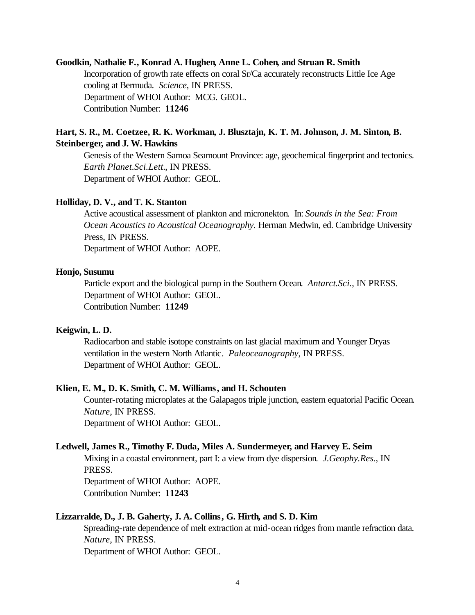#### **Goodkin, Nathalie F., Konrad A. Hughen, Anne L. Cohen, and Struan R. Smith**

Incorporation of growth rate effects on coral Sr/Ca accurately reconstructs Little Ice Age cooling at Bermuda. *Science*, IN PRESS. Department of WHOI Author: MCG. GEOL. Contribution Number: **11246**

### **Hart, S. R., M. Coetzee, R. K. Workman, J. Blusztajn, K. T. M. Johnson, J. M. Sinton, B. Steinberger, and J. W. Hawkins**

Genesis of the Western Samoa Seamount Province: age, geochemical fingerprint and tectonics. *Earth Planet.Sci.Lett.*, IN PRESS. Department of WHOI Author: GEOL.

#### **Holliday, D. V., and T. K. Stanton**

Active acoustical assessment of plankton and micronekton. In: *Sounds in the Sea: From Ocean Acoustics to Acoustical Oceanography.* Herman Medwin, ed. Cambridge University Press, IN PRESS. Department of WHOI Author: AOPE.

#### **Honjo, Susumu**

Particle export and the biological pump in the Southern Ocean. *Antarct.Sci.*, IN PRESS. Department of WHOI Author: GEOL. Contribution Number: **11249**

#### **Keigwin, L. D.**

Radiocarbon and stable isotope constraints on last glacial maximum and Younger Dryas ventilation in the western North Atlantic. *Paleoceanography*, IN PRESS. Department of WHOI Author: GEOL.

### **Klien, E. M., D. K. Smith, C. M. Williams, and H. Schouten**

Counter-rotating microplates at the Galapagos triple junction, eastern equatorial Pacific Ocean. *Nature*, IN PRESS. Department of WHOI Author: GEOL.

### **Ledwell, James R., Timothy F. Duda, Miles A. Sundermeyer, and Harvey E. Seim**

Mixing in a coastal environment, part I: a view from dye dispersion. *J.Geophy.Res.*, IN PRESS.

Department of WHOI Author: AOPE. Contribution Number: **11243**

#### **Lizzarralde, D., J. B. Gaherty, J. A. Collins, G. Hirth, and S. D. Kim**

Spreading-rate dependence of melt extraction at mid-ocean ridges from mantle refraction data. *Nature*, IN PRESS. Department of WHOI Author: GEOL.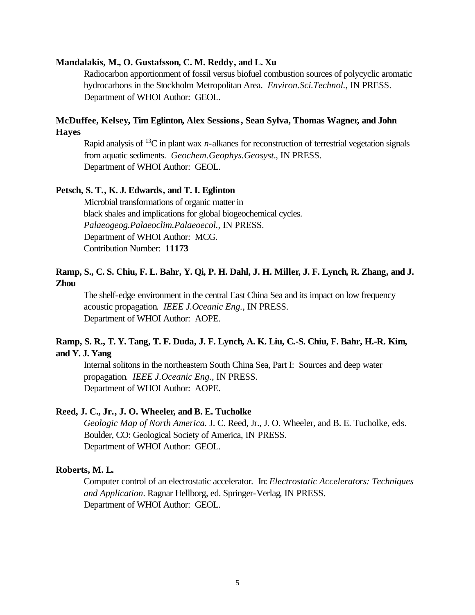### **Mandalakis, M., O. Gustafsson, C. M. Reddy, and L. Xu**

Radiocarbon apportionment of fossil versus biofuel combustion sources of polycyclic aromatic hydrocarbons in the Stockholm Metropolitan Area. *Environ.Sci.Technol.*, IN PRESS. Department of WHOI Author: GEOL.

### **McDuffee, Kelsey, Tim Eglinton, Alex Sessions, Sean Sylva, Thomas Wagner, and John Hayes**

Rapid analysis of  ${}^{13}C$  in plant wax *n*-alkanes for reconstruction of terrestrial vegetation signals from aquatic sediments. *Geochem.Geophys.Geosyst.*, IN PRESS. Department of WHOI Author: GEOL.

### **Petsch, S. T., K. J. Edwards, and T. I. Eglinton**

Microbial transformations of organic matter in black shales and implications for global biogeochemical cycles. *Palaeogeog.Palaeoclim.Palaeoecol.,* IN PRESS. Department of WHOI Author: MCG. Contribution Number: **11173**

### **Ramp, S., C. S. Chiu, F. L. Bahr, Y. Qi, P. H. Dahl, J. H. Miller, J. F. Lynch, R. Zhang, and J. Zhou**

The shelf-edge environment in the central East China Sea and its impact on low frequency acoustic propagation. *IEEE J.Oceanic Eng.*, IN PRESS. Department of WHOI Author: AOPE.

### **Ramp, S. R., T. Y. Tang, T. F. Duda, J. F. Lynch, A. K. Liu, C.-S. Chiu, F. Bahr, H.-R. Kim, and Y. J. Yang**

Internal solitons in the northeastern South China Sea, Part I: Sources and deep water propagation. *IEEE J.Oceanic Eng.*, IN PRESS. Department of WHOI Author: AOPE.

### **Reed, J. C., Jr., J. O. Wheeler, and B. E. Tucholke**

*Geologic Map of North America.* J. C. Reed, Jr., J. O. Wheeler, and B. E. Tucholke, eds. Boulder, CO: Geological Society of America, IN PRESS. Department of WHOI Author: GEOL.

#### **Roberts, M. L.**

Computer control of an electrostatic accelerator*.* In: *Electrostatic Accelerators: Techniques and Application*. Ragnar Hellborg, ed. Springer-Verlag, IN PRESS. Department of WHOI Author: GEOL.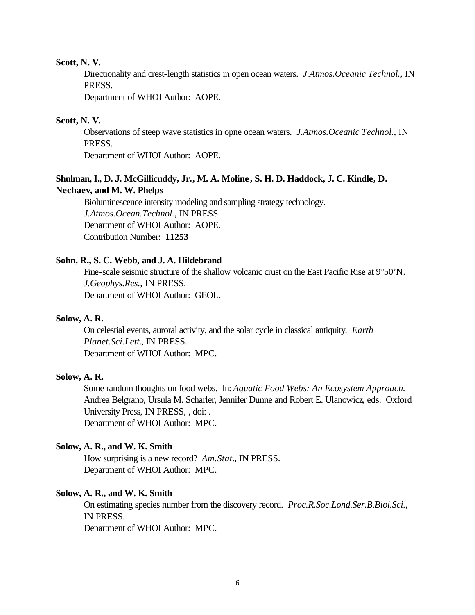#### **Scott, N. V.**

Directionality and crest-length statistics in open ocean waters. *J.Atmos.Oceanic Technol.*, IN PRESS.

Department of WHOI Author: AOPE.

### **Scott, N. V.**

Observations of steep wave statistics in opne ocean waters. *J.Atmos.Oceanic Technol.*, IN PRESS.

Department of WHOI Author: AOPE.

### **Shulman, I., D. J. McGillicuddy, Jr., M. A. Moline , S. H. D. Haddock, J. C. Kindle, D. Nechaev, and M. W. Phelps**

Bioluminescence intensity modeling and sampling strategy technology. *J.Atmos.Ocean.Technol.*, IN PRESS. Department of WHOI Author: AOPE. Contribution Number: **11253**

#### **Sohn, R., S. C. Webb, and J. A. Hildebrand**

Fine-scale seismic structure of the shallow volcanic crust on the East Pacific Rise at 9°50'N. *J.Geophys.Res.*, IN PRESS. Department of WHOI Author: GEOL.

### **Solow, A. R.**

On celestial events, auroral activity, and the solar cycle in classical antiquity. *Earth Planet.Sci.Lett.*, IN PRESS. Department of WHOI Author: MPC.

### **Solow, A. R.**

Some random thoughts on food webs. In: *Aquatic Food Webs: An Ecosystem Approach.*  Andrea Belgrano, Ursula M. Scharler, Jennifer Dunne and Robert E. Ulanowicz, eds. Oxford University Press, IN PRESS, , doi: . Department of WHOI Author: MPC.

### **Solow, A. R., and W. K. Smith**

How surprising is a new record? *Am.Stat.*, IN PRESS. Department of WHOI Author: MPC.

### **Solow, A. R., and W. K. Smith**

On estimating species number from the discovery record. *Proc.R.Soc.Lond.Ser.B.Biol.Sci.*, IN PRESS.

Department of WHOI Author: MPC.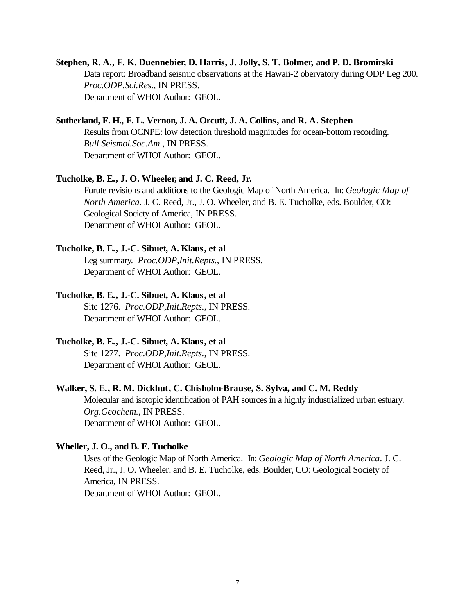### **Stephen, R. A., F. K. Duennebier, D. Harris, J. Jolly, S. T. Bolmer, and P. D. Bromirski** Data report: Broadband seismic observations at the Hawaii-2 obervatory during ODP Leg 200. *Proc.ODP,Sci.Res.*, IN PRESS. Department of WHOI Author: GEOL.

### **Sutherland, F. H., F. L. Vernon, J. A. Orcutt, J. A. Collins, and R. A. Stephen**

Results from OCNPE: low detection threshold magnitudes for ocean-bottom recording. *Bull.Seismol.Soc.Am.*, IN PRESS. Department of WHOI Author: GEOL.

### **Tucholke, B. E., J. O. Wheeler, and J. C. Reed, Jr.**

Furute revisions and additions to the Geologic Map of North America. In: *Geologic Map of North America.* J. C. Reed, Jr., J. O. Wheeler, and B. E. Tucholke, eds. Boulder, CO: Geological Society of America, IN PRESS. Department of WHOI Author: GEOL.

### **Tucholke, B. E., J.-C. Sibuet, A. Klaus, et al**

Leg summary. *Proc.ODP,Init.Repts.*, IN PRESS. Department of WHOI Author: GEOL.

### **Tucholke, B. E., J.-C. Sibuet, A. Klaus, et al**

Site 1276. *Proc.ODP,Init.Repts.*, IN PRESS. Department of WHOI Author: GEOL.

### **Tucholke, B. E., J.-C. Sibuet, A. Klaus, et al**

Site 1277. *Proc.ODP,Init.Repts.*, IN PRESS. Department of WHOI Author: GEOL.

### **Walker, S. E., R. M. Dickhut, C. Chisholm-Brause, S. Sylva, and C. M. Reddy**

Molecular and isotopic identification of PAH sources in a highly industrialized urban estuary. *Org.Geochem.*, IN PRESS. Department of WHOI Author: GEOL.

### **Wheller, J. O., and B. E. Tucholke**

Uses of the Geologic Map of North America. In: *Geologic Map of North America*. J. C. Reed, Jr., J. O. Wheeler, and B. E. Tucholke, eds. Boulder, CO: Geological Society of America, IN PRESS. Department of WHOI Author: GEOL.